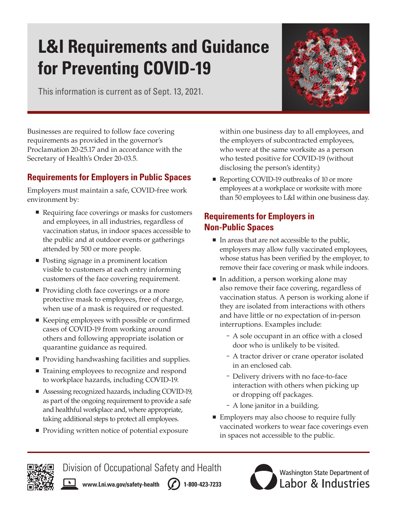# **L&I Requirements and Guidance for Preventing COVID-19**

This information is current as of Sept. 13, 2021.



Businesses are required to follow face covering requirements as provided in the governor's Proclamation 20-25.17 and in accordance with the Secretary of Health's Order 20-03.5.

## **Requirements for Employers in Public Spaces**

Employers must maintain a safe, COVID-free work environment by:

- Requiring face coverings or masks for customers and employees, in all industries, regardless of vaccination status, in indoor spaces accessible to the public and at outdoor events or gatherings attended by 500 or more people.
- Posting signage in a prominent location visible to customers at each entry informing customers of the face covering requirement.
- **Providing cloth face coverings or a more** protective mask to employees, free of charge, when use of a mask is required or requested.
- Keeping employees with possible or confirmed cases of COVID-19 from working around others and following appropriate isolation or quarantine guidance as required.
- **Providing handwashing facilities and supplies.**
- Training employees to recognize and respond to workplace hazards, including COVID-19.
- Assessing recognized hazards, including COVID-19, as part of the ongoing requirement to provide a safe and healthful workplace and, where appropriate, taking additional steps to protect all employees.
- Providing written notice of potential exposure

within one business day to all employees, and the employers of subcontracted employees, who were at the same worksite as a person who tested positive for COVID-19 (without disclosing the person's identity.)

Reporting COVID-19 outbreaks of 10 or more employees at a workplace or worksite with more than 50 employees to L&I within one business day.

### **Requirements for Employers in Non-Public Spaces**

- $\blacksquare$  In areas that are not accessible to the public, employers may allow fully vaccinated employees, whose status has been verified by the employer, to remove their face covering or mask while indoors.
- In addition, a person working alone may also remove their face covering, regardless of vaccination status. A person is working alone if they are isolated from interactions with others and have little or no expectation of in-person interruptions. Examples include:
	- A sole occupant in an office with a closed door who is unlikely to be visited.
	- A tractor driver or crane operator isolated in an enclosed cab.
	- Delivery drivers with no face-to-face interaction with others when picking up or dropping off packages.
	- A lone janitor in a building.
- **Employers may also choose to require fully** vaccinated workers to wear face coverings even in spaces not accessible to the public.



Division of Occupational Safety and Health  $\begin{array}{|c|c|c|}\n\hline\n\hline\n\end{array}$ 

**[www.Lni.wa.gov/safety-health](http://www.Lni.wa.gov/safety-health)** (*S*) 1-800-423-7233